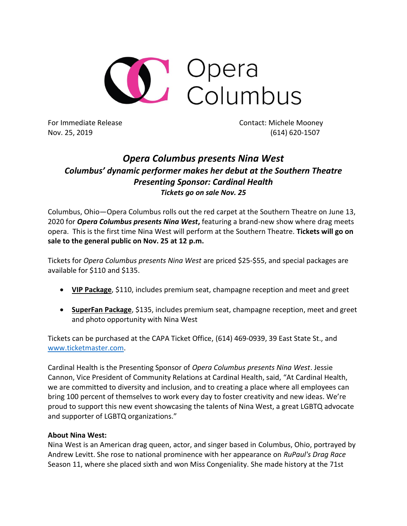

For Immediate Release Contact: Michele Mooney Nov. 25, 2019 (614) 620-1507

## *Opera Columbus presents Nina West Columbus' dynamic performer makes her debut at the Southern Theatre Presenting Sponsor: Cardinal Health Tickets go on sale Nov. 25*

Columbus, Ohio—Opera Columbus rolls out the red carpet at the Southern Theatre on June 13, 2020 for *Opera Columbus presents Nina West***,** featuring a brand-new show where drag meets opera. This is the first time Nina West will perform at the Southern Theatre. **Tickets will go on sale to the general public on Nov. 25 at 12 p.m.**

Tickets for *Opera Columbus presents Nina West* are priced \$25-\$55, and special packages are available for \$110 and \$135.

- **VIP Package**, \$110, includes premium seat, champagne reception and meet and greet
- **SuperFan Package**, \$135, includes premium seat, champagne reception, meet and greet and photo opportunity with Nina West

Tickets can be purchased at the CAPA Ticket Office, (614) 469-0939, 39 East State St., and [www.ticketmaster.com.](http://www.ticketmaster.com/)

Cardinal Health is the Presenting Sponsor of *Opera Columbus presents Nina West*. Jessie Cannon, Vice President of Community Relations at Cardinal Health, said, "At Cardinal Health, we are committed to diversity and inclusion, and to creating a place where all employees can bring 100 percent of themselves to work every day to foster creativity and new ideas. We're proud to support this new event showcasing the talents of Nina West, a great LGBTQ advocate and supporter of LGBTQ organizations."

## **About Nina West:**

Nina West is an American drag queen, actor, and singer based in Columbus, Ohio, portrayed by Andrew Levitt. She rose to national prominence with her appearance on *RuPaul's Drag Race* Season 11, where she placed sixth and won Miss Congeniality. She made history at the 71st